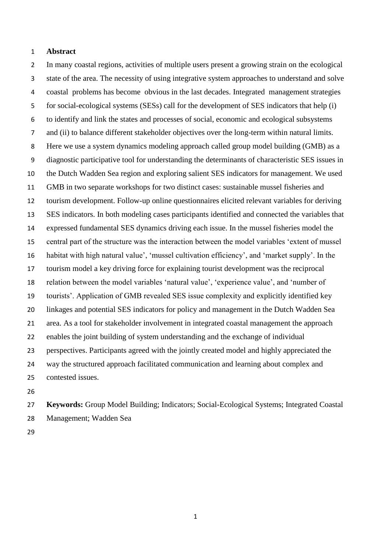#### **Abstract**

 In many coastal regions, activities of multiple users present a growing strain on the ecological state of the area. The necessity of using integrative system approaches to understand and solve coastal problems has become obvious in the last decades. Integrated management strategies for social-ecological systems (SESs) call for the development of SES indicators that help (i) to identify and link the states and processes of social, economic and ecological subsystems and (ii) to balance different stakeholder objectives over the long-term within natural limits. Here we use a system dynamics modeling approach called group model building (GMB) as a diagnostic participative tool for understanding the determinants of characteristic SES issues in the Dutch Wadden Sea region and exploring salient SES indicators for management. We used GMB in two separate workshops for two distinct cases: sustainable mussel fisheries and tourism development. Follow-up online questionnaires elicited relevant variables for deriving SES indicators. In both modeling cases participants identified and connected the variables that expressed fundamental SES dynamics driving each issue. In the mussel fisheries model the central part of the structure was the interaction between the model variables 'extent of mussel habitat with high natural value', 'mussel cultivation efficiency', and 'market supply'. In the tourism model a key driving force for explaining tourist development was the reciprocal relation between the model variables 'natural value', 'experience value', and 'number of tourists'. Application of GMB revealed SES issue complexity and explicitly identified key linkages and potential SES indicators for policy and management in the Dutch Wadden Sea area. As a tool for stakeholder involvement in integrated coastal management the approach enables the joint building of system understanding and the exchange of individual perspectives. Participants agreed with the jointly created model and highly appreciated the way the structured approach facilitated communication and learning about complex and contested issues.

 **Keywords:** Group Model Building; Indicators; Social-Ecological Systems; Integrated Coastal Management; Wadden Sea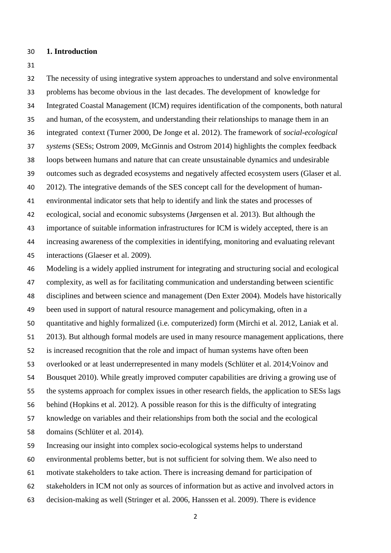#### **1. Introduction**

 The necessity of using integrative system approaches to understand and solve environmental problems has become obvious in the last decades. The development of knowledge for Integrated Coastal Management (ICM) requires identification of the components, both natural and human, of the ecosystem, and understanding their relationships to manage them in an integrated context (Turner 2000, De Jonge et al. 2012). The framework of *social-ecological systems* (SESs; Ostrom 2009, McGinnis and Ostrom 2014) highlights the complex feedback loops between humans and nature that can create unsustainable dynamics and undesirable outcomes such as degraded ecosystems and negatively affected ecosystem users (Glaser et al. 2012). The integrative demands of the SES concept call for the development of human- environmental indicator sets that help to identify and link the states and processes of ecological, social and economic subsystems (Jørgensen et al. 2013). But although the importance of suitable information infrastructures for ICM is widely accepted, there is an increasing awareness of the complexities in identifying, monitoring and evaluating relevant interactions (Glaeser et al. 2009). Modeling is a widely applied instrument for integrating and structuring social and ecological complexity, as well as for facilitating communication and understanding between scientific disciplines and between science and management (Den Exter 2004). Models have historically been used in support of natural resource management and policymaking, often in a quantitative and highly formalized (i.e. computerized) form (Mirchi et al. 2012, Laniak et al. 2013). But although formal models are used in many resource management applications, there is increased recognition that the role and impact of human systems have often been overlooked or at least underrepresented in many models (Schlüter et al. 2014;Voinov and Bousquet 2010). While greatly improved computer capabilities are driving a growing use of the systems approach for complex issues in other research fields, the application to SESs lags behind (Hopkins et al. 2012). A possible reason for this is the difficulty of integrating knowledge on variables and their relationships from both the social and the ecological domains (Schlüter et al. 2014). Increasing our insight into complex socio-ecological systems helps to understand

environmental problems better, but is not sufficient for solving them. We also need to

- motivate stakeholders to take action. There is increasing demand for participation of
- stakeholders in ICM not only as sources of information but as active and involved actors in
- decision-making as well (Stringer et al. 2006, Hanssen et al. 2009). There is evidence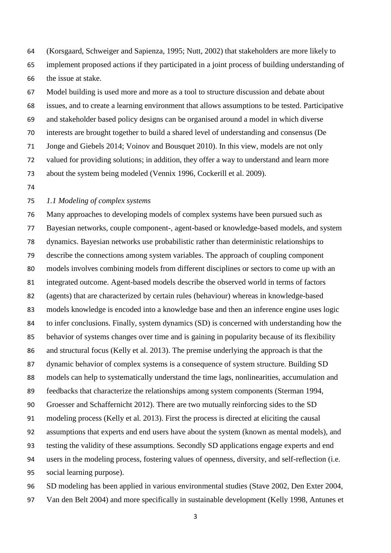(Korsgaard, Schweiger and Sapienza, 1995; Nutt, 2002) that stakeholders are more likely to implement proposed actions if they participated in a joint process of building understanding of the issue at stake.

 Model building is used more and more as a tool to structure discussion and debate about issues, and to create a learning environment that allows assumptions to be tested. Participative and stakeholder based policy designs can be organised around a model in which diverse interests are brought together to build a shared level of understanding and consensus (De Jonge and Giebels 2014; Voinov and Bousquet 2010). In this view, models are not only valued for providing solutions; in addition, they offer a way to understand and learn more about the system being modeled (Vennix 1996, Cockerill et al. 2009).

### *1.1 Modeling of complex systems*

 Many approaches to developing models of complex systems have been pursued such as Bayesian networks, couple component-, agent-based or knowledge-based models, and system dynamics. Bayesian networks use probabilistic rather than deterministic relationships to describe the connections among system variables. The approach of coupling component models involves combining models from different disciplines or sectors to come up with an integrated outcome. Agent-based models describe the observed world in terms of factors (agents) that are characterized by certain rules (behaviour) whereas in knowledge-based models knowledge is encoded into a knowledge base and then an inference engine uses logic to infer conclusions. Finally, system dynamics (SD) is concerned with understanding how the behavior of systems changes over time and is gaining in popularity because of its flexibility and structural focus (Kelly et al. 2013). The premise underlying the approach is that the dynamic behavior of complex systems is a consequence of system structure. Building SD models can help to systematically understand the time lags, nonlinearities, accumulation and feedbacks that characterize the relationships among system components (Sterman 1994, Groesser and Schaffernicht 2012). There are two mutually reinforcing sides to the SD modeling process (Kelly et al. 2013). First the process is directed at eliciting the causal assumptions that experts and end users have about the system (known as mental models), and testing the validity of these assumptions. Secondly SD applications engage experts and end users in the modeling process, fostering values of openness, diversity, and self-reflection (i.e. social learning purpose). SD modeling has been applied in various environmental studies (Stave 2002, Den Exter 2004,

Van den Belt 2004) and more specifically in sustainable development (Kelly 1998, Antunes et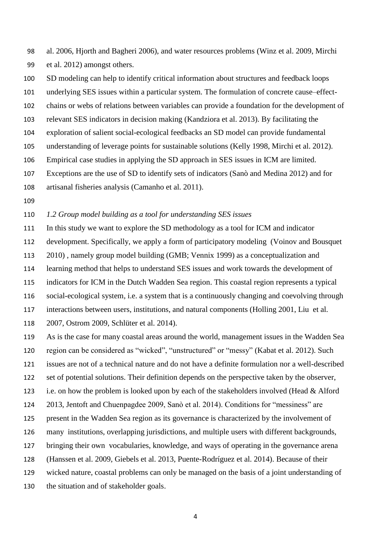al. 2006, Hjorth and Bagheri 2006), and water resources problems (Winz et al. 2009, Mirchi et al. 2012) amongst others.

SD modeling can help to identify critical information about structures and feedback loops

underlying SES issues within a particular system. The formulation of concrete cause–effect-

chains or webs of relations between variables can provide a foundation for the development of

- relevant SES indicators in decision making (Kandziora et al. 2013). By facilitating the
- exploration of salient social-ecological feedbacks an SD model can provide fundamental
- understanding of leverage points for sustainable solutions (Kelly 1998, Mirchi et al. 2012).
- Empirical case studies in applying the SD approach in SES issues in ICM are limited.
- Exceptions are the use of SD to identify sets of indicators (Sanò and Medina 2012) and for
- artisanal fisheries analysis (Camanho et al. 2011).
- 

*1.2 Group model building as a tool for understanding SES issues*

 In this study we want to explore the SD methodology as a tool for ICM and indicator development. Specifically, we apply a form of participatory modeling (Voinov and Bousquet 2010) , namely group model building (GMB; Vennix 1999) as a conceptualization and learning method that helps to understand SES issues and work towards the development of indicators for ICM in the Dutch Wadden Sea region. This coastal region represents a typical

social-ecological system, i.e. a system that is a continuously changing and coevolving through

interactions between users, institutions, and natural components (Holling 2001, Liu et al.

2007, Ostrom 2009, Schlüter et al. 2014).

 As is the case for many coastal areas around the world, management issues in the Wadden Sea region can be considered as "wicked", "unstructured" or "messy" (Kabat et al. 2012). Such

issues are not of a technical nature and do not have a definite formulation nor a well-described

set of potential solutions. Their definition depends on the perspective taken by the observer,

i.e. on how the problem is looked upon by each of the stakeholders involved (Head & Alford

2013, Jentoft and Chuenpagdee 2009, Sanò et al. 2014). Conditions for "messiness" are

present in the Wadden Sea region as its governance is characterized by the involvement of

many institutions, overlapping jurisdictions, and multiple users with different backgrounds,

- bringing their own vocabularies, knowledge, and ways of operating in the governance arena
- (Hanssen et al. 2009, Giebels et al. 2013, Puente-Rodríguez et al. 2014). Because of their
- wicked nature, coastal problems can only be managed on the basis of a joint understanding of
- the situation and of stakeholder goals.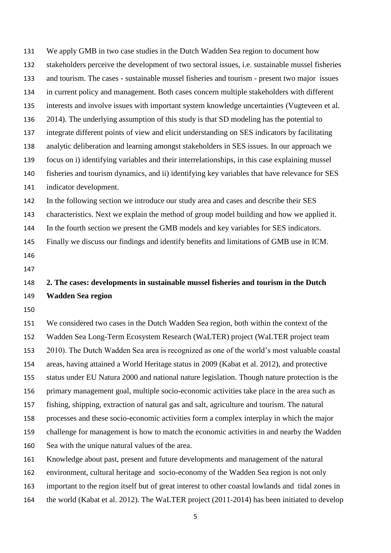We apply GMB in two case studies in the Dutch Wadden Sea region to document how stakeholders perceive the development of two sectoral issues, i.e. sustainable mussel fisheries and tourism. The cases - sustainable mussel fisheries and tourism - present two major issues in current policy and management. Both cases concern multiple stakeholders with different interests and involve issues with important system knowledge uncertainties (Vugteveen et al. 2014). The underlying assumption of this study is that SD modeling has the potential to integrate different points of view and elicit understanding on SES indicators by facilitating analytic deliberation and learning amongst stakeholders in SES issues. In our approach we focus on i) identifying variables and their interrelationships, in this case explaining mussel fisheries and tourism dynamics, and ii) identifying key variables that have relevance for SES indicator development. In the following section we introduce our study area and cases and describe their SES characteristics. Next we explain the method of group model building and how we applied it. In the fourth section we present the GMB models and key variables for SES indicators. Finally we discuss our findings and identify benefits and limitations of GMB use in ICM. **2. The cases: developments in sustainable mussel fisheries and tourism in the Dutch Wadden Sea region** 

 We considered two cases in the Dutch Wadden Sea region, both within the context of the Wadden Sea Long-Term Ecosystem Research (WaLTER) project (WaLTER project team 2010). The Dutch Wadden Sea area is recognized as one of the world's most valuable coastal areas, having attained a World Heritage status in 2009 (Kabat et al. 2012), and protective status under EU Natura 2000 and national nature legislation. Though nature protection is the primary management goal, multiple socio-economic activities take place in the area such as fishing, shipping, extraction of natural gas and salt, agriculture and tourism. The natural processes and these socio-economic activities form a complex interplay in which the major challenge for management is how to match the economic activities in and nearby the Wadden Sea with the unique natural values of the area.

Knowledge about past, present and future developments and management of the natural

environment, cultural heritage and socio-economy of the Wadden Sea region is not only

important to the region itself but of great interest to other coastal lowlands and tidal zones in

the world (Kabat et al. 2012). The WaLTER project (2011-2014) has been initiated to develop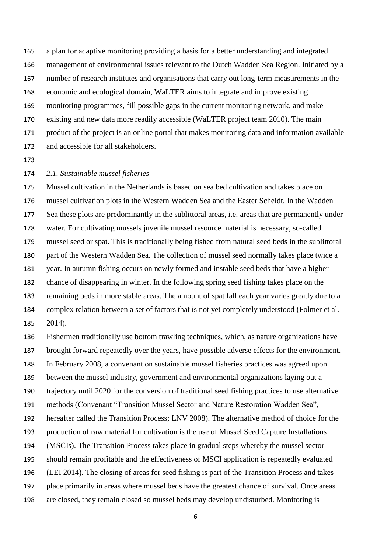a plan for adaptive monitoring providing a basis for a better understanding and integrated management of environmental issues relevant to the Dutch Wadden Sea Region. Initiated by a number of research institutes and organisations that carry out long-term measurements in the economic and ecological domain, WaLTER aims to integrate and improve existing monitoring programmes, fill possible gaps in the current monitoring network, and make existing and new data more readily accessible (WaLTER project team 2010). The main product of the project is an online portal that makes monitoring data and information available and accessible for all stakeholders.

#### *2.1. Sustainable mussel fisheries*

 Mussel cultivation in the Netherlands is based on sea bed cultivation and takes place on mussel cultivation plots in the Western Wadden Sea and the Easter Scheldt. In the Wadden Sea these plots are predominantly in the sublittoral areas, i.e. areas that are permanently under water. For cultivating mussels juvenile mussel resource material is necessary, so-called mussel seed or spat. This is traditionally being fished from natural seed beds in the sublittoral part of the Western Wadden Sea. The collection of mussel seed normally takes place twice a year. In autumn fishing occurs on newly formed and instable seed beds that have a higher chance of disappearing in winter. In the following spring seed fishing takes place on the remaining beds in more stable areas. The amount of spat fall each year varies greatly due to a complex relation between a set of factors that is not yet completely understood (Folmer et al. 2014).

 Fishermen traditionally use bottom trawling techniques, which, as nature organizations have brought forward repeatedly over the years, have possible adverse effects for the environment. In February 2008, a convenant on sustainable mussel fisheries practices was agreed upon between the mussel industry, government and environmental organizations laying out a trajectory until 2020 for the conversion of traditional seed fishing practices to use alternative methods (Convenant "Transition Mussel Sector and Nature Restoration Wadden Sea", hereafter called the Transition Process; LNV 2008). The alternative method of choice for the production of raw material for cultivation is the use of Mussel Seed Capture Installations (MSCIs). The Transition Process takes place in gradual steps whereby the mussel sector should remain profitable and the effectiveness of MSCI application is repeatedly evaluated (LEI 2014). The closing of areas for seed fishing is part of the Transition Process and takes place primarily in areas where mussel beds have the greatest chance of survival. Once areas are closed, they remain closed so mussel beds may develop undisturbed. Monitoring is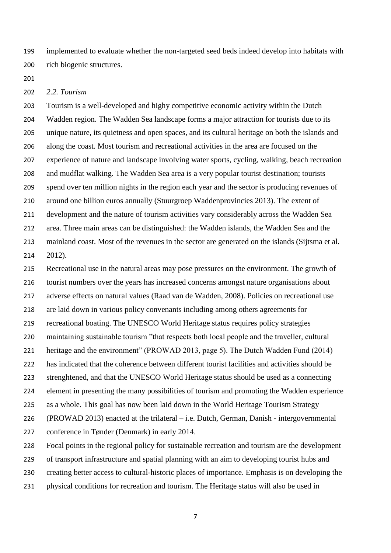implemented to evaluate whether the non-targeted seed beds indeed develop into habitats with rich biogenic structures.

#### *2.2. Tourism*

 Tourism is a well-developed and highy competitive economic activity within the Dutch Wadden region. The Wadden Sea landscape forms a major attraction for tourists due to its unique nature, its quietness and open spaces, and its cultural heritage on both the islands and along the coast. Most tourism and recreational activities in the area are focused on the experience of nature and landscape involving water sports, cycling, walking, beach recreation and mudflat walking. The Wadden Sea area is a very popular tourist destination; tourists spend over ten million nights in the region each year and the sector is producing revenues of around one billion euros annually (Stuurgroep Waddenprovincies 2013). The extent of development and the nature of tourism activities vary considerably across the Wadden Sea area. Three main areas can be distinguished: the Wadden islands, the Wadden Sea and the mainland coast. Most of the revenues in the sector are generated on the islands (Sijtsma et al. 2012).

 Recreational use in the natural areas may pose pressures on the environment. The growth of tourist numbers over the years has increased concerns amongst nature organisations about adverse effects on natural values (Raad van de Wadden, 2008). Policies on recreational use are laid down in various policy convenants including among others agreements for recreational boating. The UNESCO World Heritage status requires policy strategies maintaining sustainable tourism "that respects both local people and the traveller, cultural heritage and the environment" (PROWAD 2013, page 5). The Dutch Wadden Fund (2014) has indicated that the coherence between different tourist facilities and activities should be strenghtened, and that the UNESCO World Heritage status should be used as a connecting element in presenting the many possibilities of tourism and promoting the Wadden experience as a whole. This goal has now been laid down in the World Heritage Tourism Strategy (PROWAD 2013) enacted at the trilateral – i.e. Dutch, German, Danish - intergovernmental conference in Tønder (Denmark) in early 2014. Focal points in the regional policy for sustainable recreation and tourism are the development

of transport infrastructure and spatial planning with an aim to developing tourist hubs and

- creating better access to cultural-historic places of importance. Emphasis is on developing the
- physical conditions for recreation and tourism. The Heritage status will also be used in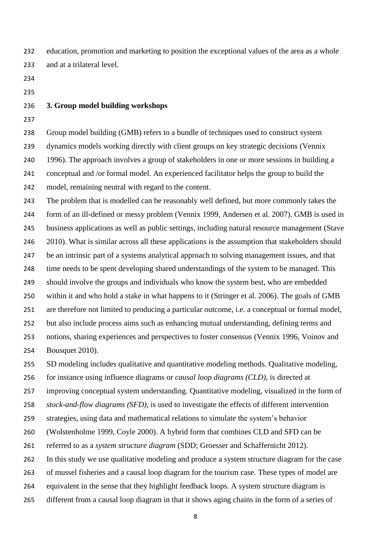education, promotion and marketing to position the exceptional values of the area as a whole and at a trilateral level.

- 
- 

# **3. Group model building workshops**

 Group model building (GMB) refers to a bundle of techniques used to construct system dynamics models working directly with client groups on key strategic decisions (Vennix 1996). The approach involves a group of stakeholders in one or more sessions in building a conceptual and /or formal model. An experienced facilitator helps the group to build the model, remaining neutral with regard to the content.

 The problem that is modelled can be reasonably well defined, but more commonly takes the form of an ill-defined or messy problem (Vennix 1999, Andersen et al. 2007). GMB is used in business applications as well as public settings, including natural resource management (Stave 246 2010). What is similar across all these applications is the assumption that stakeholders should be an intrinsic part of a systems analytical approach to solving management issues, and that 248 time needs to be spent developing shared understandings of the system to be managed. This should involve the groups and individuals who know the system best, who are embedded within it and who hold a stake in what happens to it (Stringer et al. 2006). The goals of GMB are therefore not limited to producing a particular outcome, i.e. a conceptual or formal model, but also include process aims such as enhancing mutual understanding, defining terms and notions, sharing experiences and perspectives to foster consensus (Vennix 1996, Voinov and Bousquet 2010). SD modeling includes qualitative and quantitative modeling methods. Qualitative modeling,

for instance using influence diagrams or *causal loop diagrams (CLD)*, is directed at

improving conceptual system understanding. Quantitative modeling, visualized in the form of

*stock-and-flow diagrams (SFD)*, is used to investigate the effects of different intervention

strategies, using data and mathematical relations to simulate the system's behavior

(Wolstenholme 1999, Coyle 2000). A hybrid form that combines CLD and SFD can be

referred to as a *system structure diagram* (SDD; Groesser and Schaffernicht 2012).

In this study we use qualitative modeling and produce a system structure diagram for the case

of mussel fisheries and a causal loop diagram for the tourism case. These types of model are

equivalent in the sense that they highlight feedback loops. A system structure diagram is

different from a causal loop diagram in that it shows aging chains in the form of a series of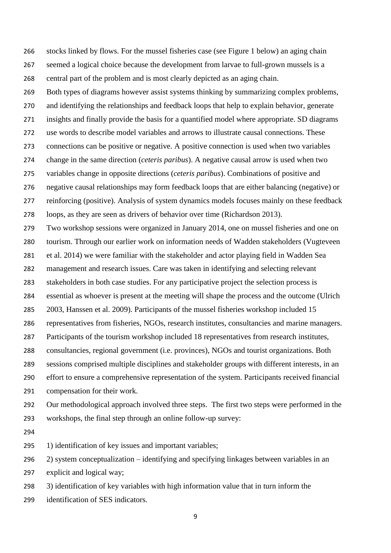stocks linked by flows. For the mussel fisheries case (see Figure 1 below) an aging chain seemed a logical choice because the development from larvae to full-grown mussels is a central part of the problem and is most clearly depicted as an aging chain.

Both types of diagrams however assist systems thinking by summarizing complex problems,

and identifying the relationships and feedback loops that help to explain behavior, generate

insights and finally provide the basis for a quantified model where appropriate. SD diagrams

use words to describe model variables and arrows to illustrate causal connections. These

connections can be positive or negative. A positive connection is used when two variables

change in the same direction (*ceteris paribus*). A negative causal arrow is used when two

variables change in opposite directions (*ceteris paribus*). Combinations of positive and

negative causal relationships may form feedback loops that are either balancing (negative) or

 reinforcing (positive). Analysis of system dynamics models focuses mainly on these feedback loops, as they are seen as drivers of behavior over time (Richardson 2013).

Two workshop sessions were organized in January 2014, one on mussel fisheries and one on

tourism. Through our earlier work on information needs of Wadden stakeholders (Vugteveen

et al. 2014) we were familiar with the stakeholder and actor playing field in Wadden Sea

management and research issues. Care was taken in identifying and selecting relevant

stakeholders in both case studies. For any participative project the selection process is

essential as whoever is present at the meeting will shape the process and the outcome (Ulrich

2003, Hanssen et al. 2009). Participants of the mussel fisheries workshop included 15

representatives from fisheries, NGOs, research institutes, consultancies and marine managers.

Participants of the tourism workshop included 18 representatives from research institutes,

consultancies, regional government (i.e. provinces), NGOs and tourist organizations. Both

 sessions comprised multiple disciplines and stakeholder groups with different interests, in an effort to ensure a comprehensive representation of the system. Participants received financial

compensation for their work.

 Our methodological approach involved three steps. The first two steps were performed in the workshops, the final step through an online follow-up survey:

295 1) identification of key issues and important variables;

2) system conceptualization – identifying and specifying linkages between variables in an

explicit and logical way;

3) identification of key variables with high information value that in turn inform the

identification of SES indicators.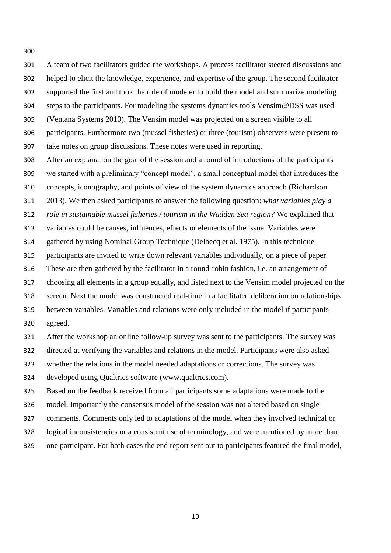A team of two facilitators guided the workshops. A process facilitator steered discussions and helped to elicit the knowledge, experience, and expertise of the group. The second facilitator supported the first and took the role of modeler to build the model and summarize modeling steps to the participants. For modeling the systems dynamics tools Vensim@DSS was used (Ventana Systems 2010). The Vensim model was projected on a screen visible to all participants. Furthermore two (mussel fisheries) or three (tourism) observers were present to take notes on group discussions. These notes were used in reporting. After an explanation the goal of the session and a round of introductions of the participants we started with a preliminary "concept model", a small conceptual model that introduces the concepts, iconography, and points of view of the system dynamics approach (Richardson 2013). We then asked participants to answer the following question: *what variables play a role in sustainable mussel fisheries / tourism in the Wadden Sea region?* We explained that variables could be causes, influences, effects or elements of the issue. Variables were

gathered by using Nominal Group Technique (Delbecq et al. 1975). In this technique

participants are invited to write down relevant variables individually, on a piece of paper.

These are then gathered by the facilitator in a round-robin fashion, i.e. an arrangement of

choosing all elements in a group equally, and listed next to the Vensim model projected on the

screen. Next the model was constructed real-time in a facilitated deliberation on relationships

 between variables. Variables and relations were only included in the model if participants agreed.

After the workshop an online follow-up survey was sent to the participants. The survey was

directed at verifying the variables and relations in the model. Participants were also asked

whether the relations in the model needed adaptations or corrections. The survey was

developed using Qualtrics software (www.qualtrics.com).

Based on the feedback received from all participants some adaptations were made to the

model. Importantly the consensus model of the session was not altered based on single

comments. Comments only led to adaptations of the model when they involved technical or

logical inconsistencies or a consistent use of terminology, and were mentioned by more than

one participant. For both cases the end report sent out to participants featured the final model,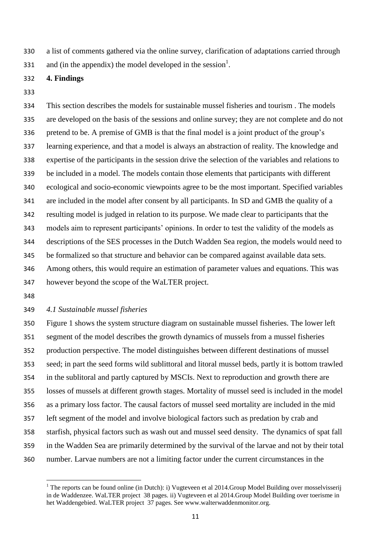a list of comments gathered via the online survey, clarification of adaptations carried through

331 and (in the appendix) the model developed in the session<sup>1</sup>.

### **4. Findings**

 This section describes the models for sustainable mussel fisheries and tourism . The models are developed on the basis of the sessions and online survey; they are not complete and do not pretend to be. A premise of GMB is that the final model is a joint product of the group's learning experience, and that a model is always an abstraction of reality. The knowledge and expertise of the participants in the session drive the selection of the variables and relations to be included in a model. The models contain those elements that participants with different ecological and socio-economic viewpoints agree to be the most important. Specified variables are included in the model after consent by all participants. In SD and GMB the quality of a resulting model is judged in relation to its purpose. We made clear to participants that the models aim to represent participants' opinions. In order to test the validity of the models as descriptions of the SES processes in the Dutch Wadden Sea region, the models would need to be formalized so that structure and behavior can be compared against available data sets. Among others, this would require an estimation of parameter values and equations. This was however beyond the scope of the WaLTER project.

 $\overline{a}$ 

### *4.1 Sustainable mussel fisheries*

 Figure 1 shows the system structure diagram on sustainable mussel fisheries. The lower left segment of the model describes the growth dynamics of mussels from a mussel fisheries production perspective. The model distinguishes between different destinations of mussel seed; in part the seed forms wild sublittoral and litoral mussel beds, partly it is bottom trawled in the sublitoral and partly captured by MSCIs. Next to reproduction and growth there are losses of mussels at different growth stages. Mortality of mussel seed is included in the model as a primary loss factor. The causal factors of mussel seed mortality are included in the mid left segment of the model and involve biological factors such as predation by crab and starfish, physical factors such as wash out and mussel seed density. The dynamics of spat fall in the Wadden Sea are primarily determined by the survival of the larvae and not by their total number. Larvae numbers are not a limiting factor under the current circumstances in the

<sup>&</sup>lt;sup>1</sup> The reports can be found online (in Dutch): i) Vugteveen et al 2014.Group Model Building over mosselvisserij in de Waddenzee. WaLTER project 38 pages. ii) Vugteveen et al 2014.Group Model Building over toerisme in het Waddengebied. WaLTER project 37 pages. See www.walterwaddenmonitor.org.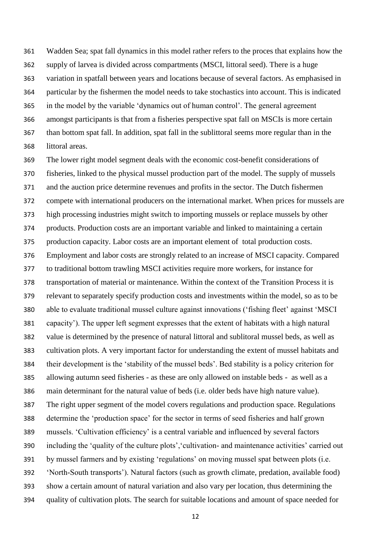Wadden Sea; spat fall dynamics in this model rather refers to the proces that explains how the supply of larvea is divided across compartments (MSCI, littoral seed). There is a huge variation in spatfall between years and locations because of several factors. As emphasised in particular by the fishermen the model needs to take stochastics into account. This is indicated in the model by the variable 'dynamics out of human control'. The general agreement amongst participants is that from a fisheries perspective spat fall on MSCIs is more certain than bottom spat fall. In addition, spat fall in the sublittoral seems more regular than in the littoral areas.

 The lower right model segment deals with the economic cost-benefit considerations of fisheries, linked to the physical mussel production part of the model. The supply of mussels and the auction price determine revenues and profits in the sector. The Dutch fishermen compete with international producers on the international market. When prices for mussels are high processing industries might switch to importing mussels or replace mussels by other products. Production costs are an important variable and linked to maintaining a certain production capacity. Labor costs are an important element of total production costs. Employment and labor costs are strongly related to an increase of MSCI capacity. Compared to traditional bottom trawling MSCI activities require more workers, for instance for transportation of material or maintenance. Within the context of the Transition Process it is relevant to separately specify production costs and investments within the model, so as to be able to evaluate traditional mussel culture against innovations ('fishing fleet' against 'MSCI capacity'). The upper left segment expresses that the extent of habitats with a high natural value is determined by the presence of natural littoral and sublitoral mussel beds, as well as cultivation plots. A very important factor for understanding the extent of mussel habitats and their development is the 'stability of the mussel beds'. Bed stability is a policy criterion for allowing autumn seed fisheries - as these are only allowed on instable beds - as well as a main determinant for the natural value of beds (i.e. older beds have high nature value). The right upper segment of the model covers regulations and production space. Regulations determine the 'production space' for the sector in terms of seed fisheries and half grown mussels. 'Cultivation efficiency' is a central variable and influenced by several factors including the 'quality of the culture plots','cultivation- and maintenance activities' carried out by mussel farmers and by existing 'regulations' on moving mussel spat between plots (i.e. 'North-South transports'). Natural factors (such as growth climate, predation, available food) show a certain amount of natural variation and also vary per location, thus determining the quality of cultivation plots. The search for suitable locations and amount of space needed for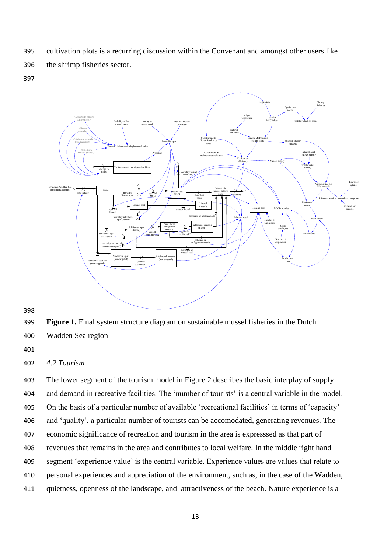395 cultivation plots is a recurring discussion within the Convenant and amongst other users like

396 the shrimp fisheries sector.

397



- 398
- 399 **Figure 1.** Final system structure diagram on sustainable mussel fisheries in the Dutch
- 400 Wadden Sea region
- 401

# 402 *4.2 Tourism*

 The lower segment of the tourism model in Figure 2 describes the basic interplay of supply and demand in recreative facilities. The 'number of tourists' is a central variable in the model. On the basis of a particular number of available 'recreational facilities' in terms of 'capacity' and 'quality', a particular number of tourists can be accomodated, generating revenues. The economic significance of recreation and tourism in the area is expresssed as that part of revenues that remains in the area and contributes to local welfare. In the middle right hand segment 'experience value' is the central variable. Experience values are values that relate to personal experiences and appreciation of the environment, such as, in the case of the Wadden, quietness, openness of the landscape, and attractiveness of the beach. Nature experience is a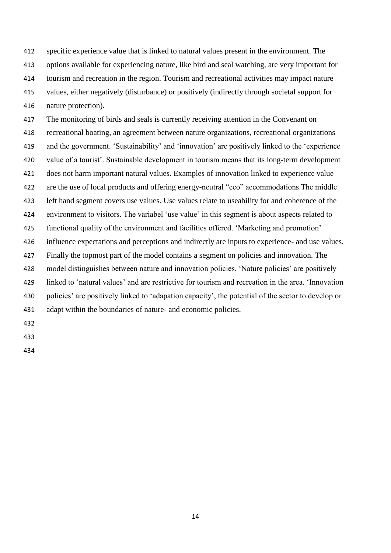specific experience value that is linked to natural values present in the environment. The options available for experiencing nature, like bird and seal watching, are very important for tourism and recreation in the region. Tourism and recreational activities may impact nature values, either negatively (disturbance) or positively (indirectly through societal support for nature protection).

 The monitoring of birds and seals is currently receiving attention in the Convenant on recreational boating, an agreement between nature organizations, recreational organizations and the government. 'Sustainability' and 'innovation' are positively linked to the 'experience value of a tourist'. Sustainable development in tourism means that its long-term development does not harm important natural values. Examples of innovation linked to experience value are the use of local products and offering energy-neutral "eco" accommodations.The middle left hand segment covers use values. Use values relate to useability for and coherence of the environment to visitors. The variabel 'use value' in this segment is about aspects related to functional quality of the environment and facilities offered. 'Marketing and promotion' influence expectations and perceptions and indirectly are inputs to experience- and use values. Finally the topmost part of the model contains a segment on policies and innovation. The model distinguishes between nature and innovation policies. 'Nature policies' are positively linked to 'natural values' and are restrictive for tourism and recreation in the area. 'Innovation policies' are positively linked to 'adapation capacity', the potential of the sector to develop or adapt within the boundaries of nature- and economic policies.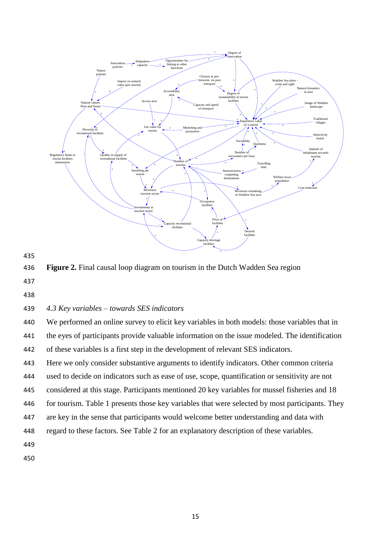

435

436 **Figure 2.** Final causal loop diagram on tourism in the Dutch Wadden Sea region

- 437
- 438

# 439 *4.3 Key variables – towards SES indicators*

440 We performed an online survey to elicit key variables in both models: those variables that in 441 the eyes of participants provide valuable information on the issue modeled. The identification 442 of these variables is a first step in the development of relevant SES indicators.

443 Here we only consider substantive arguments to identify indicators. Other common criteria

444 used to decide on indicators such as ease of use, scope, quantification or sensitivity are not

445 considered at this stage. Participants mentioned 20 key variables for mussel fisheries and 18

446 for tourism. Table 1 presents those key variables that were selected by most participants. They

- 447 are key in the sense that participants would welcome better understanding and data with
- 448 regard to these factors. See Table 2 for an explanatory description of these variables.

449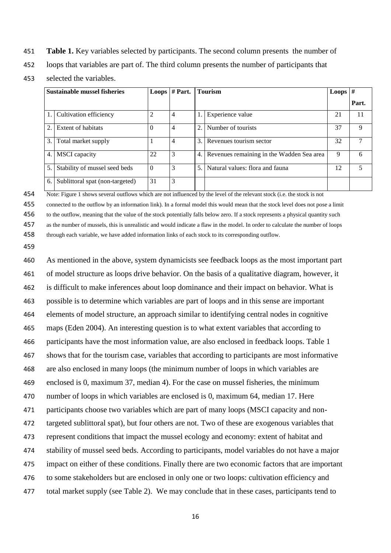- **Table 1.** Key variables selected by participants. The second column presents the number of
- loops that variables are part of. The third column presents the number of participants that
- selected the variables.

| <b>Sustainable mussel fisheries</b> |                                 |          | <b>Loops</b> $# Part.$ |    | <b>Tourism</b>                            | <b>Loops</b> | #     |
|-------------------------------------|---------------------------------|----------|------------------------|----|-------------------------------------------|--------------|-------|
|                                     |                                 |          |                        |    |                                           |              | Part. |
|                                     | Cultivation efficiency          | 2        | 4                      |    | Experience value                          | 21           | 11    |
| 2.                                  | Extent of habitats              | $\Omega$ | 4                      | 2. | Number of tourists                        | 37           | 9     |
| 3.                                  | Total market supply             |          | 4                      | 3. | Revenues tourism sector                   | 32           |       |
| 4.                                  | <b>MSCI</b> capacity            | 22       | 3                      | 4. | Revenues remaining in the Wadden Sea area | 9            | 6     |
| 5.                                  | Stability of mussel seed beds   | $\theta$ | 3                      | 5. | Natural values: flora and fauna           | 12           |       |
| 6.                                  | Sublittoral spat (non-targeted) | 31       | 3                      |    |                                           |              |       |

Note: Figure 1 shows several outflows which are not influenced by the level of the relevant stock (i.e. the stock is not

 connected to the outflow by an information link). In a formal model this would mean that the stock level does not pose a limit to the outflow, meaning that the value of the stock potentially falls below zero. If a stock represents a physical quantity such

 as the number of mussels, this is unrealistic and would indicate a flaw in the model. In order to calculate the number of loops through each variable, we have added information links of each stock to its corresponding outflow.

 As mentioned in the above, system dynamicists see feedback loops as the most important part of model structure as loops drive behavior. On the basis of a qualitative diagram, however, it is difficult to make inferences about loop dominance and their impact on behavior. What is possible is to determine which variables are part of loops and in this sense are important elements of model structure, an approach similar to identifying central nodes in cognitive maps (Eden 2004). An interesting question is to what extent variables that according to participants have the most information value, are also enclosed in feedback loops. Table 1 shows that for the tourism case, variables that according to participants are most informative are also enclosed in many loops (the minimum number of loops in which variables are enclosed is 0, maximum 37, median 4). For the case on mussel fisheries, the minimum number of loops in which variables are enclosed is 0, maximum 64, median 17. Here participants choose two variables which are part of many loops (MSCI capacity and non- targeted sublittoral spat), but four others are not. Two of these are exogenous variables that represent conditions that impact the mussel ecology and economy: extent of habitat and stability of mussel seed beds. According to participants, model variables do not have a major impact on either of these conditions. Finally there are two economic factors that are important to some stakeholders but are enclosed in only one or two loops: cultivation efficiency and total market supply (see Table 2). We may conclude that in these cases, participants tend to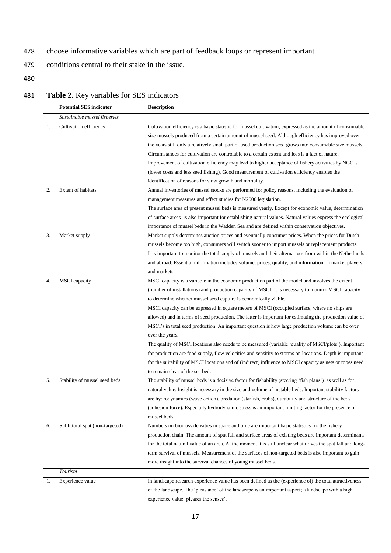- 478 choose informative variables which are part of feedback loops or represent important
- 479 conditions central to their stake in the issue.
- 480

# 481 **Table 2.** Key variables for SES indicators

|     | <b>Potential SES indicator</b>  | <b>Description</b>                                                                                            |
|-----|---------------------------------|---------------------------------------------------------------------------------------------------------------|
|     | Sustainable mussel fisheries    |                                                                                                               |
| -1. | Cultivation efficiency          | Cultivation efficiency is a basic statistic for mussel cultivation, expressed as the amount of consumable     |
|     |                                 | size mussels produced from a certain amount of mussel seed. Although efficiency has improved over             |
|     |                                 | the years still only a relatively small part of used production seed grows into consumable size mussels.      |
|     |                                 | Circumstances for cultivation are controlable to a certain extent and loss is a fact of nature.               |
|     |                                 | Improvement of cultivation efficiency may lead to higher acceptance of fishery activities by NGO's            |
|     |                                 | (lower costs and less seed fishing). Good measurement of cultivation efficiency enables the                   |
|     |                                 | identification of reasons for slow growth and mortality.                                                      |
| 2.  | <b>Extent of habitats</b>       | Annual inventories of mussel stocks are performed for policy reasons, including the evaluation of             |
|     |                                 | management measures and effect studies for N2000 legislation.                                                 |
|     |                                 | The surface area of present mussel beds is measured yearly. Except for economic value, determination          |
|     |                                 | of surface areas is also important for establishing natural values. Natural values express the ecological     |
|     |                                 | importance of mussel beds in the Wadden Sea and are defined within conservation objectives.                   |
| 3.  | Market supply                   | Market supply determines auction prices and eventually consumer prices. When the prices for Dutch             |
|     |                                 | mussels become too high, consumers will switch sooner to import mussels or replacement products.              |
|     |                                 | It is important to monitor the total supply of mussels and their alternatives from within the Netherlands     |
|     |                                 | and abroad. Essential information includes volume, prices, quality, and information on market players         |
|     |                                 | and markets.                                                                                                  |
| 4.  | <b>MSCI</b> capacity            | MSCI capacity is a variable in the economic production part of the model and involves the extent              |
|     |                                 | (number of installations) and production capacity of MSCI. It is necessary to monitor MSCI capacity           |
|     |                                 | to determine whether mussel seed capture is economically viable.                                              |
|     |                                 | MSCI capacity can be expressed in square meters of MSCI (occupied surface, where no ships are                 |
|     |                                 | allowed) and in terms of seed production. The latter is important for estimating the production value of      |
|     |                                 | MSCI's in total seed production. An important question is how large production volume can be over             |
|     |                                 | over the years.                                                                                               |
|     |                                 | The quality of MSCI locations also needs to be measured (variable 'quality of MSCI/plots'). Important         |
|     |                                 | for production are food supply, flow velocities and sensitity to storms on locations. Depth is important      |
|     |                                 | for the suitability of MSCI locations and of (indirect) influence to MSCI capacity as nets or ropes need      |
|     |                                 | to remain clear of the sea bed.                                                                               |
| 5.  | Stability of mussel seed beds   | The stability of mussel beds is a decisive factor for fishability (steering 'fish plans') as well as for      |
|     |                                 | natural value. Insight is necessary in the size and volume of instable beds. Important stability factors      |
|     |                                 | are hydrodynamics (wave action), predation (starfish, crabs), durability and structure of the beds            |
|     |                                 | (adhesion force). Especially hydrodynamic stress is an important limiting factor for the presence of          |
|     |                                 | mussel beds.                                                                                                  |
| 6.  | Sublittoral spat (non-targeted) | Numbers on biomass densities in space and time are important basic statistics for the fishery                 |
|     |                                 | production chain. The amount of spat fall and surface areas of existing beds are important determinants       |
|     |                                 | for the total natural value of an area. At the moment it is still unclear what drives the spat fall and long- |
|     |                                 | term survival of mussels. Measurement of the surfaces of non-targeted beds is also important to gain          |
|     |                                 | more insight into the survival chances of young mussel beds.                                                  |
|     | Tourism                         |                                                                                                               |
| 1.  | Experience value                | In landscape research experience value has been defined as the (experience of) the total attractiveness       |
|     |                                 | of the landscape. The 'pleasance' of the landscape is an important aspect; a landscape with a high            |
|     |                                 | experience value 'pleases the senses'.                                                                        |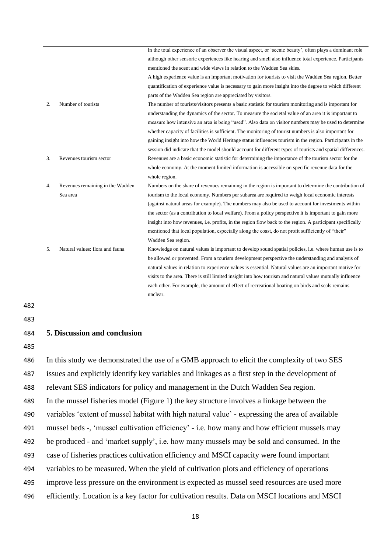|    |                                  | In the total experience of an observer the visual aspect, or 'scenic beauty', often plays a dominant role   |
|----|----------------------------------|-------------------------------------------------------------------------------------------------------------|
|    |                                  | although other sensoric experiences like hearing and smell also influence total experience. Participants    |
|    |                                  | mentioned the scent and wide views in relation to the Wadden Sea skies.                                     |
|    |                                  | A high experience value is an important motivation for tourists to visit the Wadden Sea region. Better      |
|    |                                  | quantification of experience value is necessary to gain more insight into the degree to which different     |
|    |                                  | parts of the Wadden Sea region are appreciated by visitors.                                                 |
| 2. | Number of tourists               | The number of tourists/visitors presents a basic statistic for tourism monitoring and is important for      |
|    |                                  | understanding the dynamics of the sector. To measure the societal value of an area it is important to       |
|    |                                  | measure how intensive an area is being "used". Also data on visitor numbers may be used to determine        |
|    |                                  | whether capacity of facilities is sufficient. The monitoring of tourist numbers is also important for       |
|    |                                  | gaining insight into how the World Heritage status influences tourism in the region. Participants in the    |
|    |                                  | session did indicate that the model should account for different types of tourists and spatial differences. |
| 3. | Revenues tourism sector          | Revenues are a basic economic statistic for determining the importance of the tourism sector for the        |
|    |                                  | whole economy. At the moment limited information is accessible on specific revenue data for the             |
|    |                                  | whole region.                                                                                               |
| 4. | Revenues remaining in the Wadden | Numbers on the share of revenues remaining in the region is important to determine the contribution of      |
|    | Sea area                         | tourism to the local economy. Numbers per subarea are required to weigh local economic interests            |
|    |                                  | (against natural areas for example). The numbers may also be used to account for investments within         |
|    |                                  | the sector (as a contribution to local welfare). From a policy perspective it is important to gain more     |
|    |                                  | insight into how revenues, i.e. profits, in the region flow back to the region. A participant specifically  |
|    |                                  | mentioned that local population, especially along the coast, do not profit sufficiently of "their"          |
|    |                                  | Wadden Sea region.                                                                                          |
| 5. | Natural values: flora and fauna  | Knowledge on natural values is important to develop sound spatial policies, i.e. where human use is to      |
|    |                                  | be allowed or prevented. From a tourism development perspective the understanding and analysis of           |
|    |                                  | natural values in relation to experience values is essential. Natural values are an important motive for    |
|    |                                  | visits to the area. There is still limited insight into how tourism and natural values mutually influence   |
|    |                                  | each other. For example, the amount of effect of recreational boating on birds and seals remains            |
|    |                                  | unclear.                                                                                                    |

482

483

### 484 **5. Discussion and conclusion**

485

 In this study we demonstrated the use of a GMB approach to elicit the complexity of two SES issues and explicitly identify key variables and linkages as a first step in the development of relevant SES indicators for policy and management in the Dutch Wadden Sea region. In the mussel fisheries model (Figure 1) the key structure involves a linkage between the variables 'extent of mussel habitat with high natural value' - expressing the area of available mussel beds -, 'mussel cultivation efficiency' - i.e. how many and how efficient mussels may be produced - and 'market supply', i.e. how many mussels may be sold and consumed. In the case of fisheries practices cultivation efficiency and MSCI capacity were found important variables to be measured. When the yield of cultivation plots and efficiency of operations improve less pressure on the environment is expected as mussel seed resources are used more efficiently. Location is a key factor for cultivation results. Data on MSCI locations and MSCI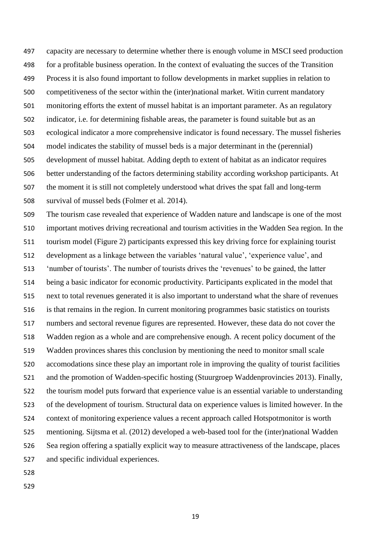capacity are necessary to determine whether there is enough volume in MSCI seed production for a profitable business operation. In the context of evaluating the succes of the Transition Process it is also found important to follow developments in market supplies in relation to competitiveness of the sector within the (inter)national market. Witin current mandatory monitoring efforts the extent of mussel habitat is an important parameter. As an regulatory indicator, i.e. for determining fishable areas, the parameter is found suitable but as an ecological indicator a more comprehensive indicator is found necessary. The mussel fisheries model indicates the stability of mussel beds is a major determinant in the (perennial) development of mussel habitat. Adding depth to extent of habitat as an indicator requires better understanding of the factors determining stability according workshop participants. At the moment it is still not completely understood what drives the spat fall and long-term survival of mussel beds (Folmer et al. 2014).

 The tourism case revealed that experience of Wadden nature and landscape is one of the most important motives driving recreational and tourism activities in the Wadden Sea region. In the tourism model (Figure 2) participants expressed this key driving force for explaining tourist development as a linkage between the variables 'natural value', 'experience value', and 'number of tourists'. The number of tourists drives the 'revenues' to be gained, the latter being a basic indicator for economic productivity. Participants explicated in the model that next to total revenues generated it is also important to understand what the share of revenues is that remains in the region. In current monitoring programmes basic statistics on tourists numbers and sectoral revenue figures are represented. However, these data do not cover the Wadden region as a whole and are comprehensive enough. A recent policy document of the Wadden provinces shares this conclusion by mentioning the need to monitor small scale accomodations since these play an important role in improving the quality of tourist facilities and the promotion of Wadden-specific hosting (Stuurgroep Waddenprovincies 2013). Finally, the tourism model puts forward that experience value is an essential variable to understanding of the development of tourism. Structural data on experience values is limited however. In the context of monitoring experience values a recent approach called Hotspotmonitor is worth mentioning. Sijtsma et al. (2012) developed a web-based tool for the (inter)national Wadden Sea region offering a spatially explicit way to measure attractiveness of the landscape, places and specific individual experiences.

- 
-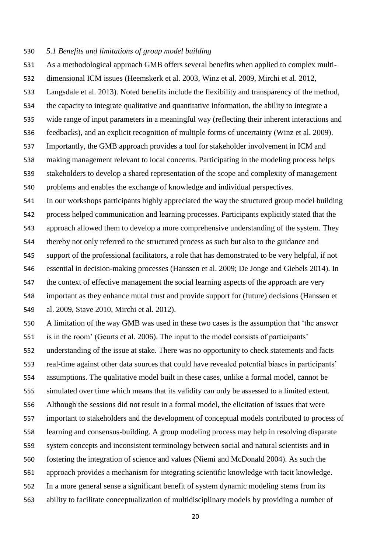#### *5.1 Benefits and limitations of group model building*

- As a methodological approach GMB offers several benefits when applied to complex multi-
- dimensional ICM issues (Heemskerk et al. 2003, Winz et al. 2009, Mirchi et al. 2012,

Langsdale et al. 2013). Noted benefits include the flexibility and transparency of the method,

- the capacity to integrate qualitative and quantitative information, the ability to integrate a
- wide range of input parameters in a meaningful way (reflecting their inherent interactions and
- feedbacks), and an explicit recognition of multiple forms of uncertainty (Winz et al. 2009).
- Importantly, the GMB approach provides a tool for stakeholder involvement in ICM and
- making management relevant to local concerns. Participating in the modeling process helps
- stakeholders to develop a shared representation of the scope and complexity of management problems and enables the exchange of knowledge and individual perspectives.
- In our workshops participants highly appreciated the way the structured group model building
- process helped communication and learning processes. Participants explicitly stated that the
- approach allowed them to develop a more comprehensive understanding of the system. They thereby not only referred to the structured process as such but also to the guidance and
- support of the professional facilitators, a role that has demonstrated to be very helpful, if not essential in decision-making processes (Hanssen et al. 2009; De Jonge and Giebels 2014). In the context of effective management the social learning aspects of the approach are very
- important as they enhance mutal trust and provide support for (future) decisions (Hanssen et al. 2009, Stave 2010, Mirchi et al. 2012).
- A limitation of the way GMB was used in these two cases is the assumption that 'the answer is in the room' (Geurts et al. 2006). The input to the model consists of participants' understanding of the issue at stake. There was no opportunity to check statements and facts real-time against other data sources that could have revealed potential biases in participants' assumptions. The qualitative model built in these cases, unlike a formal model, cannot be simulated over time which means that its validity can only be assessed to a limited extent. Although the sessions did not result in a formal model, the elicitation of issues that were important to stakeholders and the development of conceptual models contributed to process of learning and consensus-building. A group modeling process may help in resolving disparate system concepts and inconsistent terminology between social and natural scientists and in fostering the integration of science and values (Niemi and McDonald 2004). As such the approach provides a mechanism for integrating scientific knowledge with tacit knowledge. In a more general sense a significant benefit of system dynamic modeling stems from its ability to facilitate conceptualization of multidisciplinary models by providing a number of
	-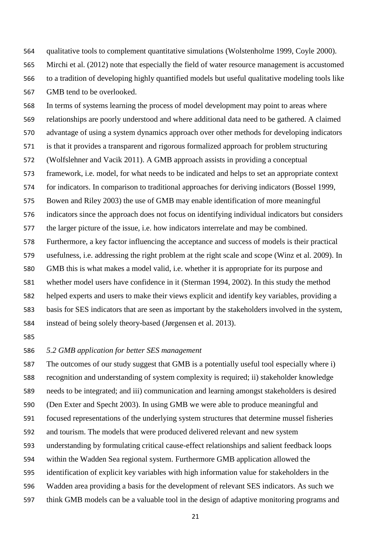qualitative tools to complement quantitative simulations (Wolstenholme 1999, Coyle 2000).

 Mirchi et al. (2012) note that especially the field of water resource management is accustomed to a tradition of developing highly quantified models but useful qualitative modeling tools like GMB tend to be overlooked.

 In terms of systems learning the process of model development may point to areas where relationships are poorly understood and where additional data need to be gathered. A claimed advantage of using a system dynamics approach over other methods for developing indicators is that it provides a transparent and rigorous formalized approach for problem structuring (Wolfslehner and Vacik 2011). A GMB approach assists in providing a conceptual framework, i.e. model, for what needs to be indicated and helps to set an appropriate context for indicators. In comparison to traditional approaches for deriving indicators (Bossel 1999, Bowen and Riley 2003) the use of GMB may enable identification of more meaningful indicators since the approach does not focus on identifying individual indicators but considers the larger picture of the issue, i.e. how indicators interrelate and may be combined. Furthermore, a key factor influencing the acceptance and success of models is their practical usefulness, i.e. addressing the right problem at the right scale and scope (Winz et al. 2009). In GMB this is what makes a model valid, i.e. whether it is appropriate for its purpose and whether model users have confidence in it (Sterman 1994, 2002). In this study the method helped experts and users to make their views explicit and identify key variables, providing a basis for SES indicators that are seen as important by the stakeholders involved in the system, instead of being solely theory-based (Jørgensen et al. 2013).

### *5.2 GMB application for better SES management*

 The outcomes of our study suggest that GMB is a potentially useful tool especially where i) recognition and understanding of system complexity is required; ii) stakeholder knowledge needs to be integrated; and iii) communication and learning amongst stakeholders is desired (Den Exter and Specht 2003). In using GMB we were able to produce meaningful and focused representations of the underlying system structures that determine mussel fisheries and tourism. The models that were produced delivered relevant and new system understanding by formulating critical cause-effect relationships and salient feedback loops within the Wadden Sea regional system. Furthermore GMB application allowed the identification of explicit key variables with high information value for stakeholders in the Wadden area providing a basis for the development of relevant SES indicators. As such we think GMB models can be a valuable tool in the design of adaptive monitoring programs and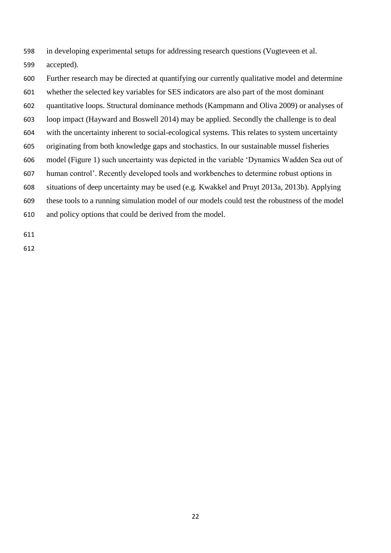- in developing experimental setups for addressing research questions (Vugteveen et al.
- accepted).
- Further research may be directed at quantifying our currently qualitative model and determine
- whether the selected key variables for SES indicators are also part of the most dominant
- quantitative loops. Structural dominance methods (Kampmann and Oliva 2009) or analyses of
- loop impact (Hayward and Boswell 2014) may be applied. Secondly the challenge is to deal
- with the uncertainty inherent to social-ecological systems. This relates to system uncertainty
- originating from both knowledge gaps and stochastics. In our sustainable mussel fisheries
- model (Figure 1) such uncertainty was depicted in the variable 'Dynamics Wadden Sea out of
- human control'. Recently developed tools and workbenches to determine robust options in
- situations of deep uncertainty may be used (e.g. Kwakkel and Pruyt 2013a, 2013b). Applying
- these tools to a running simulation model of our models could test the robustness of the model
- and policy options that could be derived from the model.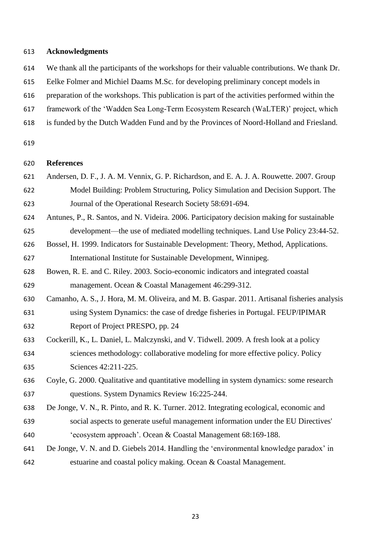#### **Acknowledgments**

- We thank all the participants of the workshops for their valuable contributions. We thank Dr.
- Eelke Folmer and Michiel Daams M.Sc. for developing preliminary concept models in
- preparation of the workshops. This publication is part of the activities performed within the
- framework of the 'Wadden Sea Long-Term Ecosystem Research (WaLTER)' project, which
- is funded by the Dutch Wadden Fund and by the Provinces of Noord-Holland and Friesland.
- 

# **References**

- Andersen, D. F., J. A. M. Vennix, G. P. Richardson, and E. A. J. A. Rouwette. 2007. Group Model Building: Problem Structuring, Policy Simulation and Decision Support. The Journal of the Operational Research Society 58:691-694.
- Antunes, P., R. Santos, and N. Videira. 2006. Participatory decision making for sustainable development—the use of mediated modelling techniques. Land Use Policy 23:44-52.
- Bossel, H. 1999. Indicators for Sustainable Development: Theory, Method, Applications. International Institute for Sustainable Development, Winnipeg.
- Bowen, R. E. and C. Riley. 2003. Socio-economic indicators and integrated coastal management. Ocean & Coastal Management 46:299-312.
- Camanho, A. S., J. Hora, M. M. Oliveira, and M. B. Gaspar. 2011. Artisanal fisheries analysis using System Dynamics: the case of dredge fisheries in Portugal. FEUP/IPIMAR Report of Project PRESPO, pp. 24
- Cockerill, K., L. Daniel, L. Malczynski, and V. Tidwell. 2009. A fresh look at a policy sciences methodology: collaborative modeling for more effective policy. Policy Sciences 42:211-225.
- Coyle, G. 2000. Qualitative and quantitative modelling in system dynamics: some research questions. System Dynamics Review 16:225-244.
- De Jonge, V. N., R. Pinto, and R. K. Turner. 2012. Integrating ecological, economic and social aspects to generate useful management information under the EU Directives' 'ecosystem approach'. Ocean & Coastal Management 68:169-188.
- De Jonge, V. N. and D. Giebels 2014. Handling the 'environmental knowledge paradox' in estuarine and coastal policy making. Ocean & Coastal Management.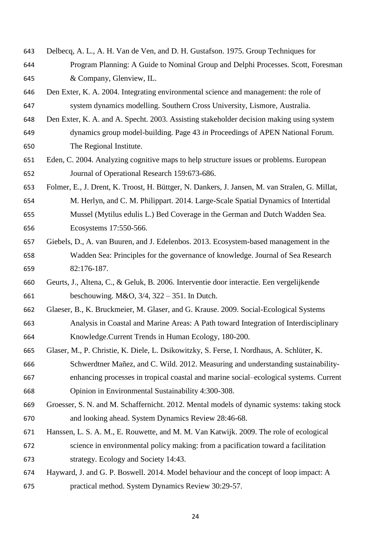- Delbecq, A. L., A. H. Van de Ven, and D. H. Gustafson. 1975. Group Techniques for Program Planning: A Guide to Nominal Group and Delphi Processes. Scott, Foresman & Company, Glenview, IL.
- Den Exter, K. A. 2004. Integrating environmental science and management: the role of system dynamics modelling. Southern Cross University, Lismore, Australia.
- Den Exter, K. A. and A. Specht. 2003. Assisting stakeholder decision making using system dynamics group model-building. Page 43 *in* Proceedings of APEN National Forum. The Regional Institute.
- Eden, C. 2004. Analyzing cognitive maps to help structure issues or problems. European Journal of Operational Research 159:673-686.
- Folmer, E., J. Drent, K. Troost, H. Büttger, N. Dankers, J. Jansen, M. van Stralen, G. Millat, M. Herlyn, and C. M. Philippart. 2014. Large-Scale Spatial Dynamics of Intertidal Mussel (Mytilus edulis L.) Bed Coverage in the German and Dutch Wadden Sea. Ecosystems 17:550-566.
- Giebels, D., A. van Buuren, and J. Edelenbos. 2013. Ecosystem-based management in the Wadden Sea: Principles for the governance of knowledge. Journal of Sea Research 82:176-187.
- Geurts, J., Altena, C., & Geluk, B. 2006. Interventie door interactie. Een vergelijkende beschouwing. M&O, 3/4, 322 – 351. In Dutch.
- Glaeser, B., K. Bruckmeier, M. Glaser, and G. Krause. 2009. Social-Ecological Systems Analysis in Coastal and Marine Areas: A Path toward Integration of Interdisciplinary Knowledge.Current Trends in Human Ecology, 180-200.
- Glaser, M., P. Christie, K. Diele, L. Dsikowitzky, S. Ferse, I. Nordhaus, A. Schlüter, K. Schwerdtner Mañez, and C. Wild. 2012. Measuring and understanding sustainability-enhancing processes in tropical coastal and marine social–ecological systems. Current
- Opinion in Environmental Sustainability 4:300-308.
- Groesser, S. N. and M. Schaffernicht. 2012. Mental models of dynamic systems: taking stock and looking ahead. System Dynamics Review 28:46-68.
- Hanssen, L. S. A. M., E. Rouwette, and M. M. Van Katwijk. 2009. The role of ecological science in environmental policy making: from a pacification toward a facilitation strategy. Ecology and Society 14:43.
- Hayward, J. and G. P. Boswell. 2014. Model behaviour and the concept of loop impact: A practical method. System Dynamics Review 30:29-57.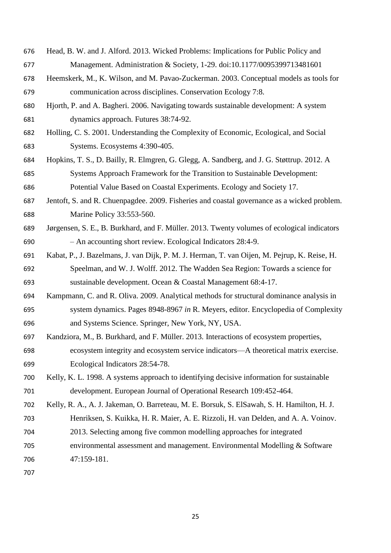- Head, B. W. and J. Alford. 2013. Wicked Problems: Implications for Public Policy and Management. Administration & Society, 1-29. doi:10.1177/0095399713481601
- Heemskerk, M., K. Wilson, and M. Pavao-Zuckerman. 2003. Conceptual models as tools for communication across disciplines. Conservation Ecology 7:8.
- Hjorth, P. and A. Bagheri. 2006. Navigating towards sustainable development: A system dynamics approach. Futures 38:74-92.
- Holling, C. S. 2001. Understanding the Complexity of Economic, Ecological, and Social Systems. Ecosystems 4:390-405.
- Hopkins, T. S., D. Bailly, R. Elmgren, G. Glegg, A. Sandberg, and J. G. Støttrup. 2012. A Systems Approach Framework for the Transition to Sustainable Development: Potential Value Based on Coastal Experiments. Ecology and Society 17.
- Jentoft, S. and R. Chuenpagdee. 2009. Fisheries and coastal governance as a wicked problem. Marine Policy 33:553-560.
- Jørgensen, S. E., B. Burkhard, and F. Müller. 2013. Twenty volumes of ecological indicators – An accounting short review. Ecological Indicators 28:4-9.
- Kabat, P., J. Bazelmans, J. van Dijk, P. M. J. Herman, T. van Oijen, M. Pejrup, K. Reise, H. Speelman, and W. J. Wolff. 2012. The Wadden Sea Region: Towards a science for sustainable development. Ocean & Coastal Management 68:4-17.
- Kampmann, C. and R. Oliva. 2009. Analytical methods for structural dominance analysis in system dynamics. Pages 8948-8967 *in* R. Meyers, editor. Encyclopedia of Complexity and Systems Science. Springer, New York, NY, USA.
- Kandziora, M., B. Burkhard, and F. Müller. 2013. Interactions of ecosystem properties, ecosystem integrity and ecosystem service indicators—A theoretical matrix exercise. Ecological Indicators 28:54-78.
- Kelly, K. L. 1998. A systems approach to identifying decisive information for sustainable development. European Journal of Operational Research 109:452-464.
- Kelly, R. A., A. J. Jakeman, O. Barreteau, M. E. Borsuk, S. ElSawah, S. H. Hamilton, H. J. Henriksen, S. Kuikka, H. R. Maier, A. E. Rizzoli, H. van Delden, and A. A. Voinov.
- 2013. Selecting among five common modelling approaches for integrated
- environmental assessment and management. Environmental Modelling & Software 47:159-181.
-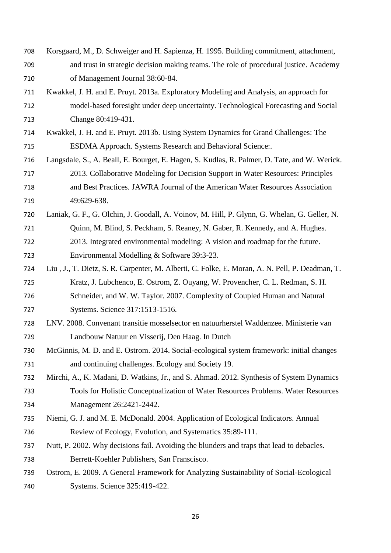- Korsgaard, M., D. Schweiger and H. Sapienza, H. 1995. Building commitment, attachment, and trust in strategic decision making teams. The role of procedural justice. Academy of Management Journal 38:60-84.
- Kwakkel, J. H. and E. Pruyt. 2013a. Exploratory Modeling and Analysis, an approach for model-based foresight under deep uncertainty. Technological Forecasting and Social Change 80:419-431.
- Kwakkel, J. H. and E. Pruyt. 2013b. Using System Dynamics for Grand Challenges: The ESDMA Approach. Systems Research and Behavioral Science:.
- Langsdale, S., A. Beall, E. Bourget, E. Hagen, S. Kudlas, R. Palmer, D. Tate, and W. Werick. 2013. Collaborative Modeling for Decision Support in Water Resources: Principles and Best Practices. JAWRA Journal of the American Water Resources Association 49:629-638.
- Laniak, G. F., G. Olchin, J. Goodall, A. Voinov, M. Hill, P. Glynn, G. Whelan, G. Geller, N. 721 Ouinn, M. Blind, S. Peckham, S. Reaney, N. Gaber, R. Kennedy, and A. Hughes. 2013. Integrated environmental modeling: A vision and roadmap for the future. Environmental Modelling & Software 39:3-23.
- Liu , J., T. Dietz, S. R. Carpenter, M. Alberti, C. Folke, E. Moran, A. N. Pell, P. Deadman, T. Kratz, J. Lubchenco, E. Ostrom, Z. Ouyang, W. Provencher, C. L. Redman, S. H. Schneider, and W. W. Taylor. 2007. Complexity of Coupled Human and Natural Systems. Science 317:1513-1516.
- LNV. 2008. Convenant transitie mosselsector en natuurherstel Waddenzee. Ministerie van Landbouw Natuur en Visserij, Den Haag. In Dutch
- McGinnis, M. D. and E. Ostrom. 2014. Social-ecological system framework: initial changes and continuing challenges. Ecology and Society 19.
- Mirchi, A., K. Madani, D. Watkins, Jr., and S. Ahmad. 2012. Synthesis of System Dynamics Tools for Holistic Conceptualization of Water Resources Problems. Water Resources Management 26:2421-2442.
- Niemi, G. J. and M. E. McDonald. 2004. Application of Ecological Indicators. Annual Review of Ecology, Evolution, and Systematics 35:89-111.
- Nutt, P. 2002. Why decisions fail. Avoiding the blunders and traps that lead to debacles. Berrett-Koehler Publishers, San Franscisco.
- Ostrom, E. 2009. A General Framework for Analyzing Sustainability of Social-Ecological Systems. Science 325:419-422.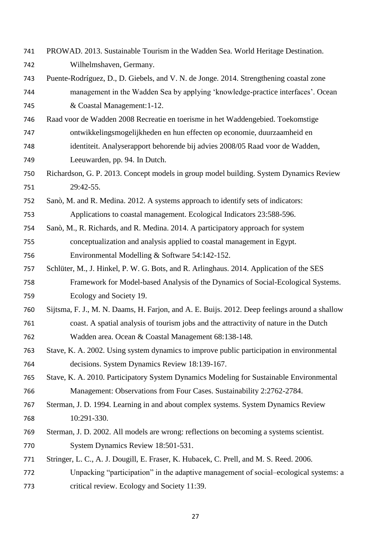- PROWAD. 2013. Sustainable Tourism in the Wadden Sea. World Heritage Destination. Wilhelmshaven, Germany.
- Puente-Rodríguez, D., D. Giebels, and V. N. de Jonge. 2014. Strengthening coastal zone
- management in the Wadden Sea by applying 'knowledge-practice interfaces'. Ocean & Coastal Management:1-12.
- Raad voor de Wadden 2008 Recreatie en toerisme in het Waddengebied. Toekomstige ontwikkelingsmogelijkheden en hun effecten op economie, duurzaamheid en
- identiteit. Analyserapport behorende bij advies 2008/05 Raad voor de Wadden,
- Leeuwarden, pp. 94. In Dutch.
- Richardson, G. P. 2013. Concept models in group model building. System Dynamics Review 29:42-55.
- Sanò, M. and R. Medina. 2012. A systems approach to identify sets of indicators: Applications to coastal management. Ecological Indicators 23:588-596.
- Sanò, M., R. Richards, and R. Medina. 2014. A participatory approach for system conceptualization and analysis applied to coastal management in Egypt. Environmental Modelling & Software 54:142-152.
- Schlüter, M., J. Hinkel, P. W. G. Bots, and R. Arlinghaus. 2014. Application of the SES Framework for Model-based Analysis of the Dynamics of Social-Ecological Systems. Ecology and Society 19.
- Sijtsma, F. J., M. N. Daams, H. Farjon, and A. E. Buijs. 2012. Deep feelings around a shallow coast. A spatial analysis of tourism jobs and the attractivity of nature in the Dutch Wadden area. Ocean & Coastal Management 68:138-148.
- Stave, K. A. 2002. Using system dynamics to improve public participation in environmental decisions. System Dynamics Review 18:139-167.
- Stave, K. A. 2010. Participatory System Dynamics Modeling for Sustainable Environmental Management: Observations from Four Cases. Sustainability 2:2762-2784.
- Sterman, J. D. 1994. Learning in and about complex systems. System Dynamics Review 10:291-330.
- Sterman, J. D. 2002. All models are wrong: reflections on becoming a systems scientist. System Dynamics Review 18:501-531.
- Stringer, L. C., A. J. Dougill, E. Fraser, K. Hubacek, C. Prell, and M. S. Reed. 2006.
- Unpacking "participation" in the adaptive management of social–ecological systems: a critical review. Ecology and Society 11:39.